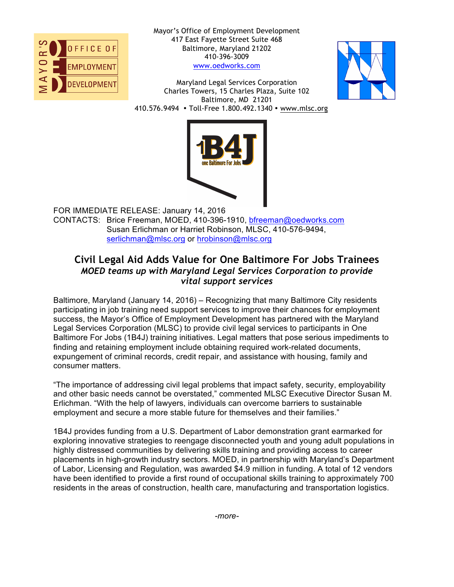

Mayor's Office of Employment Development 417 East Fayette Street Suite 468 Baltimore, Maryland 21202 410-396-3009 www.oedworks.com

Maryland Legal Services Corporation Charles Towers, 15 Charles Plaza, Suite 102 Baltimore, MD 21201 410.576.9494 • Toll-Free 1.800.492.1340 • www.mlsc.org





FOR IMMEDIATE RELEASE: January 14, 2016 CONTACTS: Brice Freeman, MOED, 410-396-1910, bfreeman@oedworks.com Susan Erlichman or Harriet Robinson, MLSC, 410-576-9494, serlichman@mlsc.org or hrobinson@mlsc.org

## **Civil Legal Aid Adds Value for One Baltimore For Jobs Trainees** *MOED teams up with Maryland Legal Services Corporation to provide vital support services*

Baltimore, Maryland (January 14, 2016) – Recognizing that many Baltimore City residents participating in job training need support services to improve their chances for employment success, the Mayor's Office of Employment Development has partnered with the Maryland Legal Services Corporation (MLSC) to provide civil legal services to participants in One Baltimore For Jobs (1B4J) training initiatives. Legal matters that pose serious impediments to finding and retaining employment include obtaining required work-related documents, expungement of criminal records, credit repair, and assistance with housing, family and consumer matters.

"The importance of addressing civil legal problems that impact safety, security, employability and other basic needs cannot be overstated," commented MLSC Executive Director Susan M. Erlichman. "With the help of lawyers, individuals can overcome barriers to sustainable employment and secure a more stable future for themselves and their families."

1B4J provides funding from a U.S. Department of Labor demonstration grant earmarked for exploring innovative strategies to reengage disconnected youth and young adult populations in highly distressed communities by delivering skills training and providing access to career placements in high-growth industry sectors. MOED, in partnership with Maryland's Department of Labor, Licensing and Regulation, was awarded \$4.9 million in funding. A total of 12 vendors have been identified to provide a first round of occupational skills training to approximately 700 residents in the areas of construction, health care, manufacturing and transportation logistics.

*-more-*